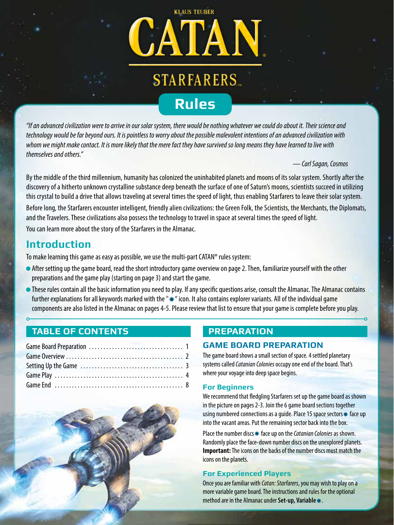

*"If an advanced civilization were to arrive in our solar system, there would be nothing whatever we could do about it. Their science and technology would be far beyond ours. It is pointless to worry about the possible malevolent intentions of an advanced civilization with whom we might make contact. It is more likely that the mere fact they have survived so long means they have learned to live with themselves and others."*

*— Carl Sagan, Cosmos* 

By the middle of the third millennium, humanity has colonized the uninhabited planets and moons of its solar system. Shortly after the discovery of a hitherto unknown crystalline substance deep beneath the surface of one of Saturn's moons, scientists succeed in utilizing this crystal to build a drive that allows traveling at several times the speed of light, thus enabling Starfarers to leave their solar system. Before long, the Starfarers encounter intelligent, friendly alien civilizations: the Green Folk, the Scientists, the Merchants, the Diplomats, and the Travelers. These civilizations also possess the technology to travel in space at several times the speed of light. You can learn more about the story of the Starfarers in the Almanac.

## **Introduction**

To make learning this game as easy as possible, we use the multi-part CATAN® rules system:

- After setting up the game board, read the short introductory game overview on page 2. Then, familiarize yourself with the other preparations and the game play (starting on page 3) and start the game.
- These rules contain all the basic information you need to play. If any specific questions arise, consult the Almanac. The Almanac contains further explanations for all keywords marked with the "\*\* icon. It also contains explorer variants. All of the individual game components are also listed in the Almanac on pages 4-5. Please review that list to ensure that your game is complete before you play.

## **TABLE OF CONTENTS**



## **PREPARATION**

### **GAME BOARD PREPARATION**

The game board shows a small section of space. 4 settled planetary systems called *Catanian Colonies* occupy one end of the board. That's where your voyage into deep space begins.

#### **For Beginners**

We recommend that fledgling Starfarers set up the game board as shown in the picture on pages 2-3. Join the 6 game board sections together using numbered connections as a quide. Place 15 space sectors \* face up into the vacant areas. Put the remaining sector back into the box.

Place the number discs \* face up on the *Catanian Colonies* as shown. Randomly place the face-down number discs on the unexplored planets. **Important:** The icons on the backs of the number discs must match the icons on the planets.

#### **For Experienced Players**

Once you are familiar with *Catan: Starfarers*, you may wish to play on a more variable game board. The instructions and rules for the optional method are in the Almanac under Set-up, Variable \*.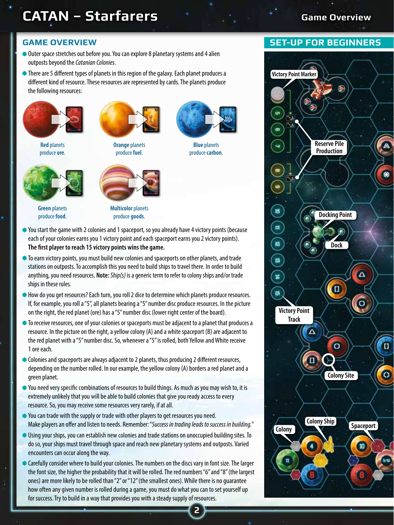# **CATAN – Starfarers Game Overview**

#### **GAME OVERVIEW**

- Outer space stretches out before you. You can explore 8 planetary systems and 4 alien outposts beyond the *Catanian Colonies*.
- There are 5 different types of planets in this region of the galaxy. Each planet produces a different kind of resource. These resources are represented by cards. The planets produce the following resources:



**Red** planets produce **ore**.



**Green** planets produce **food**.



**Orange** planets produce **fuel**.



**Blue** planets produce **carbon**.



**Multicolor** planets produce **goods**.

- You start the game with 2 colonies and 1 spaceport, so you already have 4 victory points (because each of your colonies earns you 1 victory point and each spaceport earns you 2 victory points). **The first player to reach 15 victory points wins the game.**
- $\bullet$  To earn victory points, you must build new colonies and spaceports on other planets, and trade stations on outposts. To accomplish this you need to build ships to travel there. In order to build anything, you need resources. **Note:***Ship(s)* is a generic term to refer to colony ships and/or trade ships in these rules.
- $\bullet$  How do you get resources? Each turn, you roll 2 dice to determine which planets produce resources. If, for example, you roll a "5", all planets bearing a "5" number disc produce resources. In the picture on the right, the red planet (ore) has a "5" number disc (lower right center of the board).
- $\bullet$  To receive resources, one of your colonies or spaceports must be adjacent to a planet that produces a resource. In the picture on the right, a yellow colony (A) and a white spaceport (B) are adjacent to the red planet with a "5" number disc. So, whenever a "5" is rolled, both Yellow and White receive 1 ore each.
- Colonies and spaceports are always adjacent to 2 planets, thus producing 2 different resources, depending on the number rolled. In our example, the yellow colony (A) borders a red planet and a green planet.
- You need very specific combinations of resources to build things. As much as you may wish to, it is extremely unlikely that you will be able to build colonies that give you ready access to every resource. So, you may receive some resources very rarely, if at all.
- You can trade with the supply or trade with other players to get resources you need. Make players an offer and listen to needs. Remember: "*Success in trading leads to success in building.*"
- Using your ships, you can establish new colonies and trade stations on unoccupied building sites. To do so, your ships must travel through space and reach new planetary systems and outposts. Varied encounters can occur along the way.
- Carefully consider where to build your colonies. The numbers on the discs vary in font size. The larger the font size, the higher the probability that it will be rolled. The red numbers "6" and "8" (the largest ones) are more likely to be rolled than "2" or "12" (the smallest ones). While there is no guarantee how often any given number is rolled during a game, you must do what you can to set yourself up for success. Try to build in a way that provides you with a steady supply of resources.

**2**

#### **SET-UP FOR BEGINNERS**

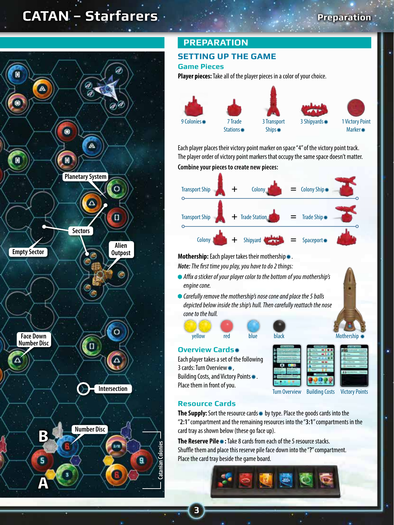## **CATAN – Starfarers Preparation**



## **PREPARATION**

### **SETTING UP THE GAME**

#### **Game Pieces**

**Player pieces:** Take all of the player pieces in a color of your choice.



Each player places their victory point marker on space "4" of the victory point track. The player order of victory point markers that occupy the same space doesn't matter. **Combine your pieces to create new pieces:**



**Mothership:** Each player takes their mothership \*.

*Note: The first time you play, you have to do 2 things:*

- *Affix a sticker of your player color to the bottom of you mothership's engine cone.*
- *Carefully remove the mothership's nose cone and place the 5 balls depicted below inside the ship's hull. Then carefully reattach the nose cone to the hull.*

#### **Overview Cards**

Each player takes a set of the following 3 cards: Turn Overview\*, Building Costs, and Victory Points. Place them in front of you.



Turn Overview Building Costs Victory Points

**VICTORY POINTS Colony 1 Victory Point Spaceport 2 Victory Points Ice Planet Token 1 Victory Point Pirate Base Token 1 Victory Point**

### **Resource Cards**

The Supply: Sort the resource cards \* by type. Place the goods cards into the "**2:1**" compartment and the remaining resources into the "**3:1**" compartments in the card tray as shown below (these go face up).

yellow red blue black Mothership \*

**The Reserve Pile**  $\ast\ast$ **:** Take 8 cards from each of the 5 resource stacks. Shuffle them and place this reserve pile face down into the "**?**" compartment. Place the card tray beside the game board.



**3**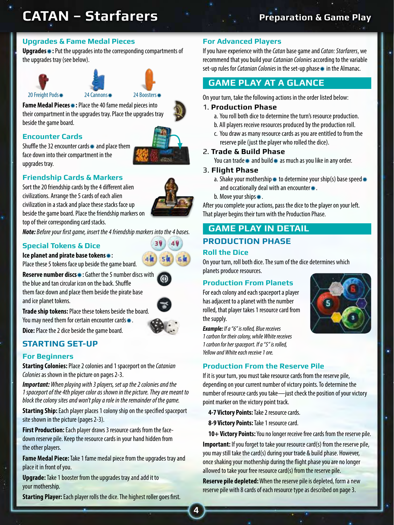# **CATAN – Starfarers**

## **Preparation & Game Play**

### **Upgrades & Fame Medal Pieces**

**Upgrades**<sup>\*</sup>: Put the upgrades into the corresponding compartments of the upgrades tray (see below).





**Fame Medal Pieces \*:** Place the 40 fame medal pieces into their compartment in the upgrades tray. Place the upgrades tray beside the game board.

#### **Encounter Cards**



Shuffle the 32 encounter cards  $*$  and place them face down into their compartment in the upgrades tray.

#### **Friendship Cards & Markers**

Sort the 20 friendship cards by the 4 different alien civilizations. Arrange the 5 cards of each alien civilization in a stack and place these stacks face up beside the game board. Place the friendship markers on top of their corresponding card stacks.

*Note: Before your first game, insert the 4 friendship markers into the 4 bases.*

#### **Special Tokens & Dice**

**Ice planet and pirate base tokens** $*$ :

Place these 5 tokens face up beside the game board.

**Reserve number discs** $*$ : Gather the 5 number discs with the blue and tan circular icon on the back. Shuffle them face down and place them beside the pirate base and ice planet tokens.

**Trade ship tokens:** Place these tokens beside the board.

You may need them for certain encounter cards $*$ .



49

**Dice:** Place the 2 dice beside the game board.

### **STARTING SET-UP**

#### **For Beginners**

**Starting Colonies:** Place 2 colonies and 1 spaceport on the *Catanian Colonies* as shown in the picture on pages 2-3.

*Important: When playing with 3 players, set up the 2 colonies and the 1 spaceport of the 4th player color as shown in the picture. They are meant to block the colony sites and won't play a role in the remainder of the game.* 

**Starting Ship:** Each player places 1 colony ship on the specified spaceport site shown in the picture (pages 2-3).

**First Production:** Each player draws 3 resource cards from the facedown reserve pile. Keep the resource cards in your hand hidden from the other players.

**Fame Medal Piece:** Take 1 fame medal piece from the upgrades tray and place it in front of you.

**Upgrade:** Take 1 booster from the upgrades tray and add it to your mothership.

**Starting Player:** Each player rolls the dice. The highest roller goes first.

#### **For Advanced Players**

If you have experience with the *Catan* base game and *Catan: Starfarers*, we recommend that you build your *Catanian Colonies* according to the variable set-up rules for *Catanian Colonies* in the set-up phase  $*$  in the Almanac.

### **GAME PLAY AT A GLANCE**

On your turn, take the following actions in the order listed below:

#### 1. **Production Phase**

- a. You roll both dice to determine the turn's resource production.
- b. All players receive resources produced by the production roll.
- c. You draw as many resource cards as you are entitled to from the reserve pile (just the player who rolled the dice).

#### 2. **Trade & Build Phase**

You can trade  $*$  and build  $*$  as much as you like in any order.

#### 3. **Flight Phase**

- a. Shake your mothership  $*$  to determine your ship(s) base speed  $*$ and occationally deal with an encounter $\textbf{\textit{L}}$ .
- b. Move your ships $*$ .

After you complete your actions, pass the dice to the player on your left. That player begins their turn with the Production Phase.

## **GAME PLAY IN DETAIL PRODUCTION PHASE**

#### **Roll the Dice**

On your turn, roll both dice. The sum of the dice determines which planets produce resources.

#### **Production From Planets**

For each colony and each spaceport a player has adjacent to a planet with the number rolled, that player takes 1 resource card from the supply.



*Example: If a "6" is rolled, Blue receives 1 carbon for their colony, while White receives 1 carbon for her spaceport. If a "5" is rolled, Yellow and White each receive 1 ore.* 

#### **Production From the Reserve Pile**

If it is your turn, you must take resource cards from the reserve pile, depending on your current number of victory points. To determine the number of resource cards you take—just check the position of your victory point marker on the victory point track.

**4-7 Victory Points:** Take 2 resource cards.

**8-9 Victory Points:** Take 1 resource card.

**10+ Victory Points:** You no longer receive free cards from the reserve pile.

**Important:** If you forget to take your resource card(s) from the reserve pile, you may still take the card(s) during your trade & build phase. However, once shaking your mothership during the flight phase you are no longer allowed to take your free resource card(s) from the reserve pile.

**Reserve pile depleted:** When the reserve pile is depleted, form a new reserve pile with 8 cards of each resource type as described on page 3.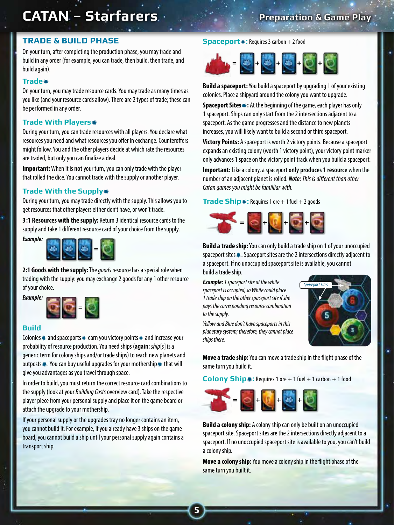## **CATAN – Starfarers**

## **Preparation & Game Play**

#### **TRADE & BUILD PHASE**

On your turn, after completing the production phase, you may trade and build in any order (for example, you can trade, then build, then trade, and build again).

#### **Trade**

On your turn, you may trade resource cards. You may trade as many times as you like (and your resource cards allow). There are 2 types of trade; these can be performed in any order.

#### **Trade With Players**\*

During your turn, you can trade resources with all players. You declare what resources you need and what resources you offer in exchange. Counteroffers might follow. You and the other players decide at which rate the resources are traded, but only you can finalize a deal.

**Important:** When it is **not** your turn, you can only trade with the player that rolled the dice. You cannot trade with the supply or another player.

#### **Trade With the Supply\***

During your turn, you may trade directly with the supply. This allows you to get resources that other players either don't have, or won't trade.

**3:1 Resources with the supply:** Return 3 identical resource cards to the supply and take 1 different resource card of your choice from the supply.



**2:1 Goods with the supply:** The *goods* resource has a special role when trading with the supply: you may exchange 2 goods for any 1 other resource of your choice.

*Example:*



#### **Build**

Colonies  $*$  and spaceports  $*$  earn you victory points  $*$  and increase your probability of resource production. You need ships (**again:** *ship*[*s*] is a generic term for colony ships and/or trade ships) to reach new planets and outposts $*$ . You can buy useful upgrades for your mothership  $*$  that will give you advantages as you travel through space.

In order to build, you must return the correct resource card combinations to the supply (look at your *Building Costs* overview card). Take the respective player piece from your personal supply and place it on the game board or attach the upgrade to your mothership.

If your personal supply or the upgrades tray no longer contains an item, you cannot build it. For example, if you already have 3 ships on the game board, you cannot build a ship until your personal supply again contains a transport ship.

#### **Spaceport \*:** Requires 3 carbon + 2 food



**Build a spaceport:** You build a spaceport by upgrading 1 of your existing colonies. Place a shipyard around the colony you want to upgrade.

**Spaceport Sites**\*: At the beginning of the game, each player has only 1 spaceport. Ships can only start from the 2 intersections adjacent to a spaceport. As the game progresses and the distance to new planets increases, you will likely want to build a second or third spaceport.

**Victory Points:** A spaceport is worth 2 victory points. Because a spaceport expands an existing colony (worth 1 victory point), your victory point marker only advances 1 space on the victory point track when you build a spaceport.

**Important:** Like a colony, a spaceport **only produces 1 resource** when the number of an adjacent planet is rolled. *Note: This is different than other Catan games you might be familliar with.*

**Trade Ship** $*$ : Requires 1 ore  $+1$  fuel  $+2$  goods



**Build a trade ship:** You can only build a trade ship on 1 of your unoccupied spaceport sites \*. Spaceport sites are the 2 intersections directly adjacent to a spaceport. If no unoccupied spaceport site is available, you cannot build a trade ship.

*Example: 1 spaceport site at the white spaceport is occupied, so White could place 1 trade ship on the other spaceport site if she pays the corresponding resource combination to the supply.*

*Yellow and Blue don't have spaceports in this planetary system; therefore, they cannot place ships there.*

**5**



**Move a trade ship:** You can move a trade ship in the flight phase of the same turn you build it.

**Colony Ship**\*: Requires 1 ore + 1 fuel + 1 carbon + 1 food



**Build a colony ship:** A colony ship can only be built on an unoccupied spaceport site. Spaceport sites are the 2 intersections directly adjacent to a spaceport. If no unoccupied spaceport site is available to you, you can't build a colony ship.

**Move a colony ship:** You move a colony ship in the flight phase of the same turn you built it.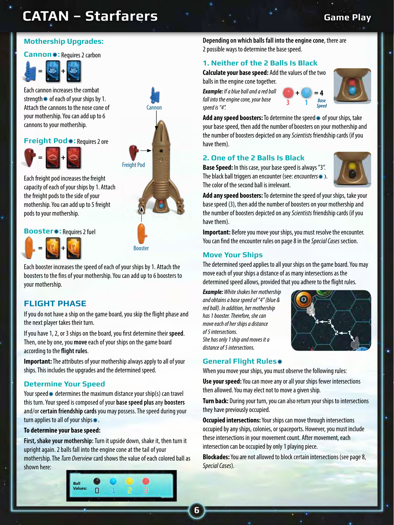# **CATAN – Starfarers**

### **Mothership Upgrades:**

#### **Cannon**<sup>\*</sup>: Requires 2 carbon



Each cannon increases the combat strength  $*$  of each of your ships by 1. Attach the cannons to the nose cone of your mothership. You can add up to 6 cannons to your mothership.

#### **Freight Pod \*:** Requires 2 ore



Each freight pod increases the freight capacity of each of your ships by 1. Attach the freight pods to the side of your mothership. You can add up to 5 freight pods to your mothership.

#### **Booster**<sup>\*</sup>: Requires 2 fuel



**Booster** 

Freight Pod

Cannon

Each booster increases the speed of each of your ships by 1. Attach the boosters to the fins of your mothership. You can add up to 6 boosters to your mothership.

#### **FLIGHT PHASE**

If you do not have a ship on the game board, you skip the flight phase and the next player takes their turn.

Then, one by one, you **move** each of your ships on the game board Roll the dice to determine resource production If you have 1, 2, or 3 ships on the board, you first determine their **speed**. according to the **flight rules**.

Important: The attributes of your mothership always apply to all of your ships. This includes the upgrades and the determined speed.

#### **Determine Your Speed**

Shake your mothership. If a black ball appears, you have an encounter. Otherwise, move your ship(s). this turn. Your speed is composed of your **base speed plus** any **boosters** Your speed  $*$  determines the maximum distance your ship(s) can travel and/or **certain friendship cards** you may possess. The speed during your turn applies to all of your ships $*$ .

#### To determine your base speed:

mothership. The *Turn Overview* card shows the value of each colored ball as **First, shake your mothership:** Turn it upside down, shake it, then turn it upright again. 2 balls fall into the engine cone at the tail of your shown here:



**Depending on which balls fall into the engine cone**, there are 2 possible ways to determine the base speed.

#### **1. Neither of the 2 Balls Is Black**

**Calculate your base speed:** Add the values of the two balls in the engine cone together.

*Example: If a blue ball and a red ball fall into the engine cone, your base speed is "4".*





Add any speed boosters: To determine the speed \* of your ships, take your base speed, then add the number of boosters on your mothership and the number of boosters depicted on any *Scientists* friendship cards (if you have them).

#### **2. One of the 2 Balls Is Black**

**Base Speed:** In this case, your base speed is always "3". The black ball triggers an encounter (see: *encounters* \*). The color of the second ball is irrelevant.



**Add any speed boosters:** To determine the speed of your ships, take your base speed (3), then add the number of boosters on your mothership and the number of boosters depicted on any *Scientists* friendship cards (if you have them).

**Important:** Before you move your ships, you must resolve the encounter. You can find the encounter rules on page 8 in the *Special Cases* section.

#### **Move Your Ships**

The determined speed applies to all your ships on the game board. You may move each of your ships a distance of as many intersections as the determined speed allows, provided that you adhere to the flight rules.

*Example: White shakes her mothership and obtains a base speed of "4" (blue & red ball). In addition, her mothership has 1 booster. Therefore, she can move each of her ships a distance of 5 intersections. She has only 1 ship and moves it a distance of 5 intersections.* 



#### **General Flight Rules**

When you move your ships, you must observe the following rules:

**Use your speed:** You can move any or all your ships fewer intersections then allowed. You may elect not to move a given ship.

**Turn back:** During your turn, you can also return your ships to intersections they have previously occupied.

**Occupied intersections:** Your ships can move through intersections occupied by any ships, colonies, or spaceports. However, you must include these intersections in your movement count. After movement, each intersection can be occupied by only 1 playing piece.

**Blockades:** You are not allowed to block certain intersections (see page 8, *Special Cases*).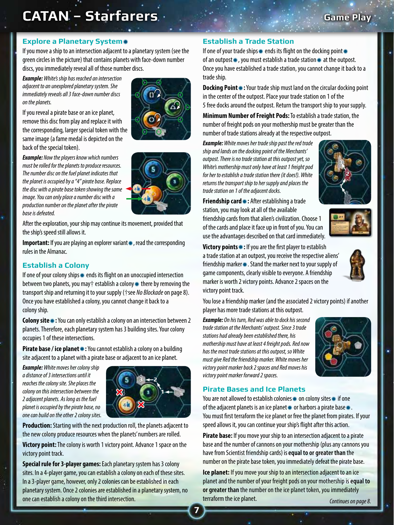# **CATAN – Starfarers Game Play**

#### **Explore a Planetary System**

If you move a ship to an intersection adjacent to a planetary system (see the green circles in the picture) that contains planets with face-down number discs, you immediately reveal all of those number discs.

*Example: White's ship has reached an intersection adjacent to an unexplored planetary system. She immediately reveals all 3 face-down number discs on the planets.*

If you reveal a pirate base or an ice planet, remove this disc from play and replace it with the corresponding, larger special token with the same image (a fame medal is depicted on the back of the special token).

*Example: Now the players know which numbers must be rolled for the planets to produce resources. The number disc on the fuel planet indicates that the planet is occupied by a "4" pirate base. Replace the disc with a pirate base token showing the same image. You can only place a number disc with a production number on the planet after the pirate base is defeated.*





After the exploration, your ship may continue its movement, provided that the ship's speed still allows it.

**Important:** If you are playing an explorer variant  $\ast$ , read the corresponding rules in the Almanac.

#### **Establish a Colony**

If one of your colony ships \* ends its flight on an unoccupied intersection between two planets, you may† establish a colony  $*$  there by removing the transport ship and returning it to your supply (†see *No Blockade* on page 8). Once you have established a colony, you cannot change it back to a colony ship.

**Colony site**\*: You can only establish a colony on an intersection between 2 planets. Therefore, each planetary system has 3 building sites. Your colony occupies 1 of these intersections.

**Pirate base / ice planet \*:** You cannot establish a colony on a building site adjacent to a planet with a pirate base or adjacent to an ice planet.

*Example: White moves her colony ship a distance of 3 intersections until it reaches the colony site. She places the colony on this intersection between the 2 adjacent planets. As long as the fuel planet is occupied by the pirate base, no one can build on the other 2 colony sites.*



**Production:** Starting with the next production roll, the planets adjacent to the new colony produce resources when the planets' numbers are rolled.

**Victory point:** The colony is worth 1 victory point. Advance 1 space on the victory point track.

**Special rule for 3-player games:** Each planetary system has 3 colony sites. In a 4-player game, you can establish a colony on each of these sites. In a 3-player game, however, only 2 colonies can be established in each planetary system. Once 2 colonies are established in a planetary system, no one can establish a colony on the third intersection.

#### **Establish a Trade Station**

If one of your trade ships  $*$  ends its flight on the docking point  $*$ of an outpost $\ast$ , you must establish a trade station $\ast$  at the outpost. Once you have established a trade station, you cannot change it back to a trade ship.

**Docking Point**  $\ast$ **:** Your trade ship must land on the circular docking point in the center of the outpost. Place your trade station on 1 of the 5 free docks around the outpost. Return the transport ship to your supply.

**Minimum Number of Freight Pods:** To establish a trade station, the number of freight pods on your mothership must be greater than the number of trade stations already at the respective outpost.

*Example: White moves her trade ship past the red trade ship and lands on the docking point of the Merchants' outpost. There is no trade station at this outpost yet, so White's mothership must only have at least 1 freight pod for her to establish a trade station there (it does!). White returns the transport ship to her supply and places the trade station on 1 of the adjacent docks.*



**Friendship card \*:** After establishing a trade station, you may look at all of the available friendship cards from that alien's civilization. Choose 1 of the cards and place it face up in front of you. You can use the advantages described on that card immediately.



**Victory points**<sup>1</sup>: If you are the first player to establish a trade station at an outpost, you receive the respective aliens' friendship marker\*. Stand the marker next to your supply of game components, clearly visible to everyone. A friendship marker is worth 2 victory points. Advance 2 spaces on the victory point track.

You lose a friendship marker (and the associated 2 victory points) if another player has more trade stations at this outpost.

*Example: On his turn, Red was able to dock his second trade station at the Merchants' outpost. Since 3 trade stations had already been established there, his mothership must have at least 4 freight pods. Red now has the most trade stations at this outpost, so White must give Red the friendship marker. White moves her victory point marker back 2 spaces and Red moves his victory point marker forward 2 spaces.*



#### **Pirate Bases and Ice Planets**

You are not allowed to establish colonies  $*$  on colony sites  $*$  if one of the adjacent planets is an ice planet  $*$  or harbors a pirate base $*$ . You must first terraform the ice planet or free the planet from pirates. If your speed allows it, you can continue your ship's flight after this action.

**Pirate base:** If you move your ship to an intersection adjacent to a pirate base and the number of cannons on your mothership (plus any cannons you have from Scientist friendship cards) is **equal to or greater than** the number on the pirate base token, you immediately defeat the pirate base.

**Ice planet:** If you move your ship to an intersection adjacent to an ice planet and the number of your freight pods on your mothership is **equal to or greater than** the number on the ice planet token, you immediately terraform the ice planet. *Continues on page 8.*

**7**